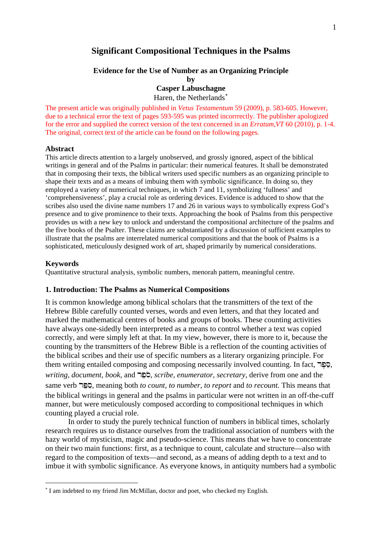## **Significant Compositional Techniques in the Psalms**

## **Evidence for the Use of Number as an Organizing Principle by Casper Labuschagne**

Haren, the Netherlands<sup>\*</sup>

The present article was originally published in *Vetus Testamentum* 59 (2009), p. 583-605. However, due to a technical error the text of pages 593-595 was printed incorrrectly. The publisher apologized for the error and supplied the correct version of the text concerned in an *Erratum,VT* 60 (2010), p. 1-4. The original, correct text of the article can be found on the following pages.

#### **Abstract**

This article directs attention to a largely unobserved, and grossly ignored, aspect of the biblical writings in general and of the Psalms in particular: their numerical features. It shall be demonstrated that in composing their texts, the biblical writers used specific numbers as an organizing principle to shape their texts and as a means of imbuing them with symbolic significance. In doing so, they employed a variety of numerical techniques, in which 7 and 11, symbolizing 'fullness' and 'comprehensiveness', play a crucial role as ordering devices. Evidence is adduced to show that the scribes also used the divine name numbers 17 and 26 in various ways to symbolically express God's presence and to give prominence to their texts. Approaching the book of Psalms from this perspective provides us with a new key to unlock and understand the compositional architecture of the psalms and the five books of the Psalter. These claims are substantiated by a discussion of sufficient examples to illustrate that the psalms are interrelated numerical compositions and that the book of Psalms is a sophisticated, meticulously designed work of art, shaped primarily by numerical considerations.

#### **Keywords**

<u>.</u>

Quantitative structural analysis, symbolic numbers, menorah pattern, meaningful centre.

#### **1. Introduction: The Psalms as Numerical Compositions**

It is common knowledge among biblical scholars that the transmitters of the text of the Hebrew Bible carefully counted verses, words and even letters, and that they located and marked the mathematical centres of books and groups of books. These counting activities have always one-sidedly been interpreted as a means to control whether a text was copied correctly, and were simply left at that. In my view, however, there is more to it, because the counting by the transmitters of the Hebrew Bible is a reflection of the counting activities of the biblical scribes and their use of specific numbers as a literary organizing principle. For them writing entailed composing and composing necessarily involved counting. In fact,  $\overline{D}$ , *writing, document, book,* and rEpOs, *scribe, enumerator, secretary,* derive from one and the same verb rEKpis, meaning both *to count, to number, to report* and *to recount.* This means that the biblical writings in general and the psalms in particular were not written in an off-the-cuff manner, but were meticulously composed according to compositional techniques in which counting played a crucial role.

 In order to study the purely technical function of numbers in biblical times, scholarly research requires us to distance ourselves from the traditional association of numbers with the hazy world of mysticism, magic and pseudo-science. This means that we have to concentrate on their two main functions: first, as a technique to count, calculate and structure—also with regard to the composition of texts—and second, as a means of adding depth to a text and to imbue it with symbolic significance. As everyone knows, in antiquity numbers had a symbolic

<span id="page-0-0"></span><sup>∗</sup> I am indebted to my friend Jim McMillan, doctor and poet, who checked my English.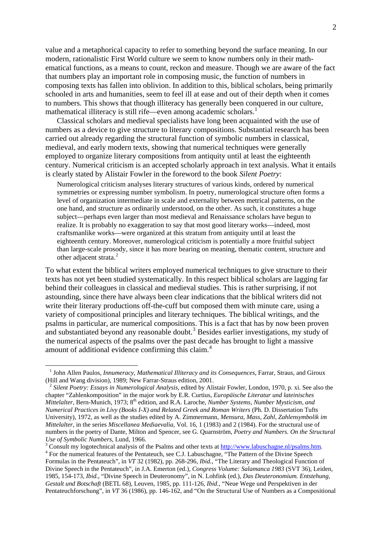value and a metaphorical capacity to refer to something beyond the surface meaning. In our modern, rationalistic First World culture we seem to know numbers only in their mathematical functions, as a means to count, reckon and measure. Though we are aware of the fact that numbers play an important role in composing music, the function of numbers in composing texts has fallen into oblivion. In addition to this, biblical scholars, being primarily schooled in arts and humanities, seem to feel ill at ease and out of their depth when it comes to numbers. This shows that though illiteracy has generally been conquered in our culture, mathematical illiteracy is still rife—even among academic scholars.<sup>[1](#page-1-0)</sup>

Classical scholars and medieval specialists have long been acquainted with the use of numbers as a device to give structure to literary compositions. Substantial research has been carried out already regarding the structural function of symbolic numbers in classical, medieval, and early modern texts, showing that numerical techniques were generally employed to organize literary compositions from antiquity until at least the eighteenth century. Numerical criticism is an accepted scholarly approach in text analysis. What it entails is clearly stated by Alistair Fowler in the foreword to the book *Silent Poetry*:

Numerological criticism analyses literary structures of various kinds, ordered by numerical symmetries or expressing number symbolism. In poetry, numerological structure often forms a level of organization intermediate in scale and externality between metrical patterns, on the one hand, and structure as ordinarily understood, on the other. As such, it constitutes a huge subject—perhaps even larger than most medieval and Renaissance scholars have begun to realize. It is probably no exaggeration to say that most good literary works—indeed, most craftsmanlike works—were organized at this stratum from antiquity until at least the eighteenth century. Moreover, numerological criticism is potentially a more fruitful subject than large-scale prosody, since it has more bearing on meaning, thematic content, structure and other adjacent strata.<sup>[2](#page-1-1)</sup>

To what extent the biblical writers employed numerical techniques to give structure to their texts has not yet been studied systematically. In this respect biblical scholars are lagging far behind their colleagues in classical and medieval studies. This is rather surprising, if not astounding, since there have always been clear indications that the biblical writers did not write their literary productions off-the-cuff but composed them with minute care, using a variety of compositional principles and literary techniques. The biblical writings, and the psalms in particular, are numerical compositions. This is a fact that has by now been proven and substantiated beyond any reasonable doubt.<sup>[3](#page-1-2)</sup> Besides earlier investigations, my study of the numerical aspects of the psalms over the past decade has brought to light a massive amount of additional evidence confirming this claim.<sup>[4](#page-1-3)</sup>

<u>.</u>

<span id="page-1-0"></span><sup>&</sup>lt;sup>1</sup> John Allen Paulos, *Innumeracy, Mathematical Illiteracy and its Consequences*, Farrar, Straus, and Giroux (Hill and Wang division), 1989; New Farrar-Straus edition, 2001. 2 *Silent Poetry: Essays in Numerological Analysis*, edited by Alistair Fowler, London, 1970, p. xi. See also the

<span id="page-1-1"></span>chapter "Zahlenkomposition" in the major work by E.R. Curtius, *Europäische Literatur und lateinisches Mittelalter*, Bern-Munich, 1973; 8<sup>th</sup> edition, and R.A. Laroche, *Number Systems, Number Mysticism, and Numerical Practices in Livy (Books I-X) and Related Greek and Roman Writers* (Ph. D. Dissertation Tufts University), 1972, as well as the studies edited by A. Zimmermann, *Mensura, Mass, Zahl, Zahlensymbolik im Mittelalter*, in the series *Miscellanea Mediaevalia*, Vol. 16, 1 (1983) and 2 (1984). For the structural use of numbers in the poetry of Dante, Milton and Spencer, see G. Quarnström, *Poetry and Numbers. On the Structural Use of Symbolic Numbers, Lund, 1966.* 

<span id="page-1-3"></span><span id="page-1-2"></span><sup>&</sup>lt;sup>3</sup> Consult my logotechnical analysis of the Psalms and other texts at<http://www.labuschagne.nl/psalms.htm>. <sup>4</sup> For the numerical features of the Pentateuch, see C.J. Labuschagne, "The Pattern of the Divine Speech Formulas in the Pentateuch", in *VT* 32 (1982), pp. 268-296, *Ibid.*, "The Literary and Theological Function of Divine Speech in the Pentateuch", in J.A. Emerton (ed.), *Congress Volume: Salamanca 1983* (SVT 36), Leiden, 1985, 154-173, *Ibid.*, "Divine Speech in Deuteronomy", in N. Lohfink (ed.), *Das Deuteronomium. Entstehung, Gestalt und Botschaft* (BETL 68), Leuven, 1985, pp. 111-126, *Ibid.,* "Neue Wege und Perspektiven in der Pentateuchforschung", in *VT* 36 (1986), pp. 146-162, and "On the Structural Use of Numbers as a Compositional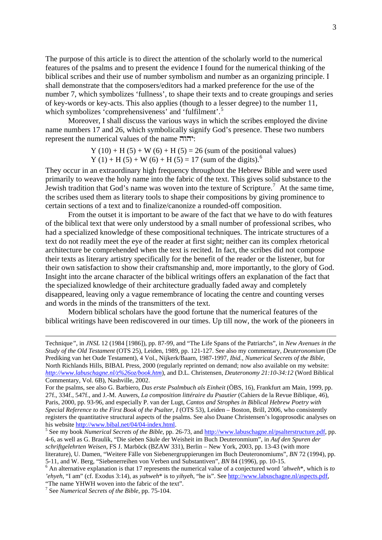The purpose of this article is to direct the attention of the scholarly world to the numerical features of the psalms and to present the evidence I found for the numerical thinking of the biblical scribes and their use of number symbolism and number as an organizing principle. I shall demonstrate that the composers/editors had a marked preference for the use of the number 7, which symbolizes 'fullness', to shape their texts and to create groupings and series of key-words or key-acts. This also applies (though to a lesser degree) to the number 11, which symbolizes 'comprehensiveness' and 'fulfilment'.<sup>[5](#page-2-0)</sup>

Moreover, I shall discuss the various ways in which the scribes employed the divine name numbers 17 and 26, which symbolically signify God's presence. These two numbers  $r$ יהוה:  $\cdot$ יהוה:

> $Y(10) + H(5) + W(6) + H(5) = 26$  (sum of the positional values)  $Y(1) + H(5) + W(6) + H(5) = 17$  $Y(1) + H(5) + W(6) + H(5) = 17$  $Y(1) + H(5) + W(6) + H(5) = 17$  (sum of the digits).<sup>6</sup>

They occur in an extraordinary high frequency throughout the Hebrew Bible and were used primarily to weave the holy name into the fabric of the text. This gives solid substance to the Jewish tradition that God's name was woven into the texture of Scripture.<sup>[7](#page-2-2)</sup> At the same time, the scribes used them as literary tools to shape their compositions by giving prominence to certain sections of a text and to finalize/canonize a rounded-off composition.

 From the outset it is important to be aware of the fact that we have to do with features of the biblical text that were only understood by a small number of professional scribes, who had a specialized knowledge of these compositional techniques. The intricate structures of a text do not readily meet the eye of the reader at first sight; neither can its complex rhetorical architecture be comprehended when the text is recited. In fact, the scribes did not compose their texts as literary artistry specifically for the benefit of the reader or the listener, but for their own satisfaction to show their craftsmanship and, more importantly, to the glory of God. Insight into the arcane character of the biblical writings offers an explanation of the fact that the specialized knowledge of their architecture gradually faded away and completely disappeared, leaving only a vague remembrance of locating the centre and counting verses and words in the minds of the transmitters of the text.

 Modern biblical scholars have the good fortune that the numerical features of the biblical writings have been rediscovered in our times. Up till now, the work of the pioneers in

Technique*"*, in *JNSL* 12 (1984 [1986]), pp. 87-99, and "The Life Spans of the Patriarchs", in *New Avenues in the Study of the Old Testament* (OTS 25), Leiden, 1989, pp. 121-127. See also my commentary, *Deuteronomium* (De Prediking van het Oude Testament), 4 Vol., Nijkerk/Baarn, 1987-1997, *Ibid.*, *Numerical Secrets of the Bible*, North Richlands Hills, BIBAL Press, 2000 (regularly reprinted on demand; now also available on my website: *<http://www.labuschagne.nl/z%26oz/book.htm>*), and D.L. Christensen, *Deuteronomy 21:10-34:12* (Word Biblical Commentary, Vol. 6B), Nashville, 2002.

For the psalms, see also G. Barbiero, *Das erste Psalmbuch als Einheit* (ÖBS, 16), Frankfurt am Main, 1999, pp. 27f., 334f., 547f., and J.-M. Auwers, *La composition littéraire du Psautier* (Cahiers de la Revue Biblique, 46), Paris, 2000, pp. 93-96, and especially P. van der Lugt, *Cantos and Strophes in Biblical Hebrew Poetry with*  Special Reference to the First Book of the Psalter, I (OTS 53), Leiden - Boston, Brill, 2006, who consistently registers the quantitative structural aspects of the psalms. See also Duane Christensen's logoprosodic analyses on his website [http://www.bibal.net/04/04-index.html.](http://www.bibal.net/04/04-index.html)

<span id="page-2-0"></span>See my book *Numerical Secrets of the Bible*, pp. 26-73, and [http://www.labuschagne.nl/psalterstructure.pdf,](http://www.labuschagne.nl/psalterstructure.pdf) pp. 4-6, as well as G. Braulik, "Die sieben Säule der Weisheit im Buch Deuteronmium", in *Auf den Spuren der schriftgelehrten Weisen*, FS J. Marböck (BZAW 331), Berlin – New York, 2003, pp. 13-43 (with more literature), U. Damen, "Weitere Fälle von Siebenergruppierungen im Buch Deuteronomiums", *BN* 72 (1994), pp. 5-11, and W. Berg, "Siebenerreihen von Verben und Substantiven", *BN* 84 (1996), pp. 10-15. 6

<span id="page-2-1"></span>An alternative explanation is that 17 represents the numerical value of a conjectured word *'ahweh*\*, which is *to 'ehyeh*, "I am" (cf. Exodus 3:14), as *yahweh*\* is to *yihyeh*, "he is". See [http://www.labuschagne.nl/aspects.pdf,](http://www.labuschagne.nl/aspects.pdf) "The name YHWH woven into the fabric of the text".

<span id="page-2-2"></span><sup>7</sup> See *Numerical Secrets of the Bible*, pp. 75-104.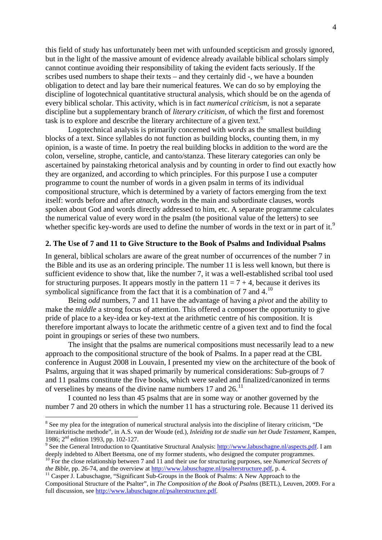this field of study has unfortunately been met with unfounded scepticism and grossly ignored, but in the light of the massive amount of evidence already available biblical scholars simply cannot continue avoiding their responsibility of taking the evident facts seriously. If the scribes used numbers to shape their texts – and they certainly did -, we have a bounden obligation to detect and lay bare their numerical features. We can do so by employing the discipline of logotechnical quantitative structural analysis, which should be on the agenda of every biblical scholar. This activity, which is in fact *numerical criticism*, is not a separate discipline but a supplementary branch of *literary criticism*, of which the first and foremost task is to explore and describe the literary architecture of a given text.<sup>[8](#page-3-0)</sup>

Logotechnical analysis is primarily concerned with *words* as the smallest building blocks of a text. Since syllables do not function as building blocks, counting them, in my opinion, is a waste of time. In poetry the real building blocks in addition to the word are the colon, verseline, strophe, canticle, and canto/stanza. These literary categories can only be ascertained by painstaking rhetorical analysis and by counting in order to find out exactly how they are organized, and according to which principles. For this purpose I use a computer programme to count the number of words in a given psalm in terms of its individual compositional structure, which is determined by a variety of factors emerging from the text itself: words before and after *atnach*, words in the main and subordinate clauses, words spoken about God and words directly addressed to him, etc. A separate programme calculates the numerical value of every word in the psalm (the positional value of the letters) to see whether specific key-words are used to define the number of words in the text or in part of it.<sup>[9](#page-3-1)</sup>

## **2. The Use of 7 and 11 to Give Structure to the Book of Psalms and Individual Psalms**

In general, biblical scholars are aware of the great number of occurrences of the number 7 in the Bible and its use as an ordering principle. The number 11 is less well known, but there is sufficient evidence to show that, like the number 7, it was a well-established scribal tool used for structuring purposes. It appears mostly in the pattern  $11 = 7 + 4$ , because it derives its symbolical significance from the fact that it is a combination of 7 and 4.<sup>[10](#page-3-2)</sup>

Being *odd* numbers, 7 and 11 have the advantage of having a *pivot* and the ability to make the *middle* a strong focus of attention. This offered a composer the opportunity to give pride of place to a key-idea or key-text at the arithmetic centre of his composition. It is therefore important always to locate the arithmetic centre of a given text and to find the focal point in groupings or series of these two numbers.

The insight that the psalms are numerical compositions must necessarily lead to a new approach to the compositional structure of the book of Psalms. In a paper read at the CBL conference in August 2008 in Louvain, I presented my view on the architecture of the book of Psalms, arguing that it was shaped primarily by numerical considerations: Sub-groups of 7 and 11 psalms constitute the five books, which were sealed and finalized/canonized in terms of verselines by means of the divine name numbers  $17$  and  $26$ .<sup>[11](#page-3-3)</sup>

I counted no less than 45 psalms that are in some way or another governed by the number 7 and 20 others in which the number 11 has a structuring role. Because 11 derived its

1

<span id="page-3-2"></span>*the Bible,* pp. 26-74, and the overview at **http://www.labuschagne.nl/psalterstructure.pdf**, p. 4. <sup>11</sup> Casper J. Labuschagne, "Significant Sub-Groups in the Book of Psalms: A New Approach to the

<span id="page-3-0"></span><sup>&</sup>lt;sup>8</sup> See my plea for the integration of numerical structural analysis into the discipline of literary criticism, "De literairkritische methode", in A.S. van der Woude (ed.), *Inleiding tot de studie van het Oude Testament*, Kampen, 1986; 2<sup>nd</sup> edition 1993, pp. 102-127.

<span id="page-3-1"></span><sup>&</sup>lt;sup>9</sup> See the General Introduction to Quantitative Structural Analysis: [http://www.labuschagne.nl/aspects.pdf.](http://www.labuschagne.nl/aspects.pdf) I am deeply indebted to Albert Beetsma, one of my former students, who designed the computer programmes. <sup>10</sup> For the close relationship between 7 and 11 and their use for structuring purposes, see *Numerical Secrets of* 

<span id="page-3-3"></span>Compositional Structure of the Psalter", in *The Composition of the Book of Psalms* (BETL), Leuven, 2009. For a full discussion, see<http://www.labuschagne.nl/psalterstructure.pdf>*.*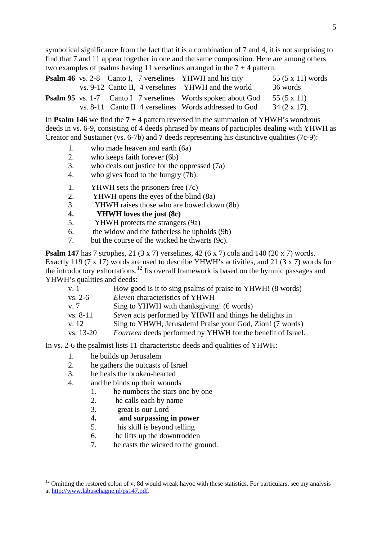symbolical significance from the fact that it is a combination of 7 and 4, it is not surprising to find that 7 and 11 appear together in one and the same composition. Here are among others two examples of psalms having 11 verselines arranged in the  $7 + 4$  pattern:

|  |  | <b>Psalm 46</b> vs. 2-8 Canto I, 7 verselines YHWH and his city<br>vs. 9-12 Canto II, 4 verselines YHWH and the world        | 55 $(5 \times 11)$ words<br>36 words     |
|--|--|------------------------------------------------------------------------------------------------------------------------------|------------------------------------------|
|  |  | <b>Psalm 95</b> vs. 1-7 Canto I 7 verselines Words spoken about God<br>vs. 8-11 Canto II 4 verselines Words addressed to God | $55(5 \times 11)$<br>$34(2 \times 17)$ . |

In **Psalm 146** we find the  $7 + 4$  pattern reversed in the summation of YHWH's wondrous deeds in vs. 6-9, consisting of 4 deeds phrased by means of participles dealing with YHWH as Creator and Sustainer (vs. 6-7b) and **7** deeds representing his distinctive qualities (7c-9):

- 1. who made heaven and earth (6a)
- 2. who keeps faith forever (6b)
- 3. who deals out justice for the oppressed (7a)
- 4. who gives food to the hungry (7b).
- 1. YHWH sets the prisoners free (7c)
- 2. YHWH opens the eyes of the blind (8a)
- 3. YHWH raises those who are bowed down (8b)
- **4. YHWH loves the just (8c)**
- 5. YHWH protects the strangers (9a)
- 6. the widow and the fatherless he upholds (9b)
- 7. but the course of the wicked he thwarts (9c).

**Psalm 147** has 7 strophes, 21 (3 x 7) verselines, 42 (6 x 7) cola and 140 (20 x 7) words. Exactly 119 (7 x 17) words are used to describe YHWH's activities, and 21 (3 x 7) words for the introductory exhortations.[12](#page-4-0) Its overall framework is based on the hymnic passages and YHWH's qualities and deeds:

| v. 1      | How good is it to sing psalms of praise to YHWH! (8 words)         |
|-----------|--------------------------------------------------------------------|
| $vs. 2-6$ | Eleven characteristics of YHWH                                     |
| v. 7      | Sing to YHWH with thanksgiving! (6 words)                          |
| vs. 8-11  | Seven acts performed by YHWH and things he delights in             |
| v. 12     | Sing to YHWH, Jerusalem! Praise your God, Zion! (7 words)          |
| vs. 13-20 | <i>Fourteen</i> deeds performed by YHWH for the benefit of Israel. |
|           |                                                                    |

In vs. 2-6 the psalmist lists 11 characteristic deeds and qualities of YHWH:

1. he builds up Jerusalem

- 2. he gathers the outcasts of Israel
- 3. he heals the broken-hearted
- 4. and he binds up their wounds
	- 1. he numbers the stars one by one
	- 2. he calls each by name
	- 3. great is our Lord
	- **4. and surpassing in power**
	- 5. his skill is beyond telling
	- 6. he lifts up the downtrodden
	- 7. he casts the wicked to the ground.

<span id="page-4-0"></span> $12$  Omitting the restored colon of v. 8d would wreak havoc with these statistics. For particulars, see my analysis at [http://www.labuschagne.nl/ps147.pdf.](http://www.labuschagne.nl/ps147.pdf)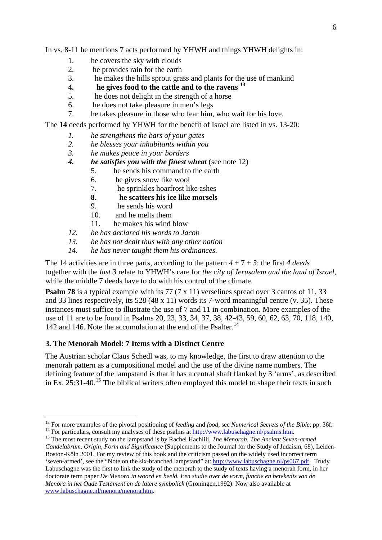In vs. 8-11 he mentions 7 acts performed by YHWH and things YHWH delights in:

- 1. he covers the sky with clouds
- 2. he provides rain for the earth
- 3. he makes the hills sprout grass and plants for the use of mankind
- **4. he gives food to the cattle and to the ravens [13](#page-5-0)**
- 5. he does not delight in the strength of a horse
- 6. he does not take pleasure in men's legs
- 7. he takes pleasure in those who fear him, who wait for his love.

The **14** deeds performed by YHWH for the benefit of Israel are listed in vs. 13-20:

- *1. he strengthens the bars of your gates*
- *2. he blesses your inhabitants within you*
- *3. he makes peace in your borders*
- *4. he satisfies you with the finest wheat* (see note 12)
	- 5. he sends his command to the earth
	- 6. he gives snow like wool
	- 7. he sprinkles hoarfrost like ashes
	- **8. he scatters his ice like morsels**
	- 9. he sends his word
	- 10. and he melts them
	- 11. he makes his wind blow
- *12. he has declared his words to Jacob*
- *13. he has not dealt thus with any other nation*
- *14. he has never taught them his ordinances.*

The 14 activities are in three parts, according to the pattern  $4 + 7 + 3$ : the first 4 deeds together with the *last 3* relate to YHWH's care for *the city of Jerusalem and the land of Israel*, while the middle 7 deeds have to do with his control of the climate.

**Psalm 78** is a typical example with its 77 (7 x 11) verselines spread over 3 cantos of 11, 33 and 33 lines respectively, its 528 (48 x 11) words its 7-word meaningful centre (v. 35). These instances must suffice to illustrate the use of 7 and 11 in combination. More examples of the use of 11 are to be found in Psalms 20, 23, 33, 34, 37, 38, 42-43, 59, 60, 62, 63, 70, 118, 140, [14](#page-5-1)2 and 146. Note the accumulation at the end of the Psalter.<sup>14</sup>

# **3. The Menorah Model: 7 Items with a Distinct Centre**

1

The Austrian scholar Claus Schedl was, to my knowledge, the first to draw attention to the menorah pattern as a compositional model and the use of the divine name numbers. The defining feature of the lampstand is that it has a central shaft flanked by 3 'arms', as described in Ex.  $25:31-40<sup>15</sup>$  $25:31-40<sup>15</sup>$  $25:31-40<sup>15</sup>$  The biblical writers often employed this model to shape their texts in such

<span id="page-5-0"></span><sup>&</sup>lt;sup>13</sup> For more examples of the pivotal positioning of *feeding* and *food*, see *Numerical Secrets of the Bible*, pp. 36f.<br><sup>14</sup> For particulars, consult my analyses of these psalms at  $\frac{http://www.labuschagne.nl/psalms.htm}{http://www.labuschagne.nl/psalms.htm}$ .<br><sup>15</sup>

<span id="page-5-1"></span>

<span id="page-5-2"></span>*Candelabrum. Origin, Form and Significance* (Supplements to the Journal for the Study of Judaism, 68), Leiden-Boston-Köln 2001. For my review of this book and the criticism passed on the widely used incorrect term 'seven-armed', see the "Note on the six-branched lampstand" at: <http://www.labuschagne.nl/ps067.pdf>. Trudy Labuschagne was the first to link the study of the menorah to the study of texts having a menorah form, in her doctorate term paper *De Menora in woord en beeld. Een studie over de vorm, functie en betekenis van de Menora in het Oude Testament en de latere symboliek* (Groningen,1992). Now also available at [www.labuschagne.nl/menora/menora.htm](http://www.labuschagne.nl/menora/menora.htm).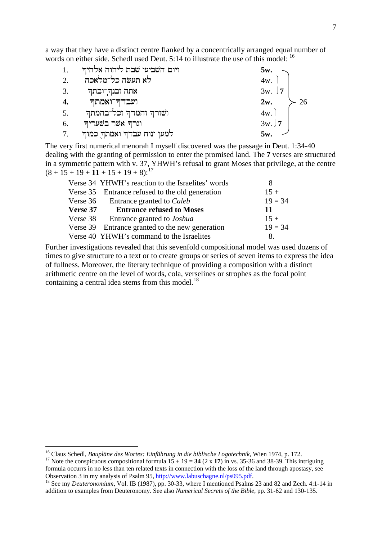a way that they have a distinct centre flanked by a concentrically arranged equal number of words on either side. Schedl used Deut. 5:14 to illustrate the use of this model: <sup>[16](#page-6-0)</sup>

|    | ויום השביעי שבת ליהוה אלהיד | 5w.              |
|----|-----------------------------|------------------|
| 2. | לא תעשה כל־מלאכה            | 4w.              |
| 3. | אתה ובנך־ובתך               | $3w.$ $\sqrt{7}$ |
| 4. | ועבדד־ואמתד                 | 2w.<br>26        |
| 5. | ושורך וחמרך וכל־בהמתך       | 4w.              |
| 6. | וגרף אשר בשעריף             | $3w.$   $7$      |
|    | למען ינוח עברך ואמתך כמוך   | 5w.              |

The very first numerical menorah I myself discovered was the passage in Deut. 1:34-40 dealing with the granting of permission to enter the promised land. The **7** verses are structured in a symmetric pattern with v. 37, YHWH's refusal to grant Moses that privilege, at the centre  $(8 + 15 + 19 + 11 + 15 + 19 + 8)$ :<sup>[17](#page-6-1)</sup>

|          | Verse 34 YHWH's reaction to the Israelites' words |           |
|----------|---------------------------------------------------|-----------|
|          | Verse 35 Entrance refused to the old generation   | $15 +$    |
|          | Verse 36 Entrance granted to Caleb                | $19 = 34$ |
| Verse 37 | <b>Entrance refused to Moses</b>                  | 11        |
| Verse 38 | Entrance granted to <i>Joshua</i>                 | $15 +$    |
|          | Verse 39 Entrance granted to the new generation   | $19 = 34$ |
|          | Verse 40 YHWH's command to the Israelites         | 8.        |

Further investigations revealed that this sevenfold compositional model was used dozens of times to give structure to a text or to create groups or series of seven items to express the idea of fullness. Moreover, the literary technique of providing a composition with a distinct arithmetic centre on the level of words, cola, verselines or strophes as the focal point containing a central idea stems from this model. $^{18}$  $^{18}$  $^{18}$ 

<span id="page-6-0"></span><sup>&</sup>lt;sup>16</sup> Claus Schedl, *Baupläne des Wortes: Einführung in die biblische Logotechnik*, Wien 1974, p. 172.<br><sup>17</sup> Note the conspicuous compositional formula 15 + 19 = **34** (2 x **17**) in vs. 35-36 and 38-39. This intriguing

<span id="page-6-1"></span>formula occurrs in no less than ten related texts in connection with the loss of the land through apostasy, see Observation 3 in my analysis of Psalm 95, <http://www.labuschagne.nl/ps095.pdf>.<br><sup>18</sup> See my *Deuteronomium*, Vol. IB (1987), pp. 30-33, where I mentioned Psalms 23 and 82 and Zech. 4:1-14 in

<span id="page-6-2"></span>addition to examples from Deuteronomy. See also *Numerical Secrets of the Bible*, pp. 31-62 and 130-135.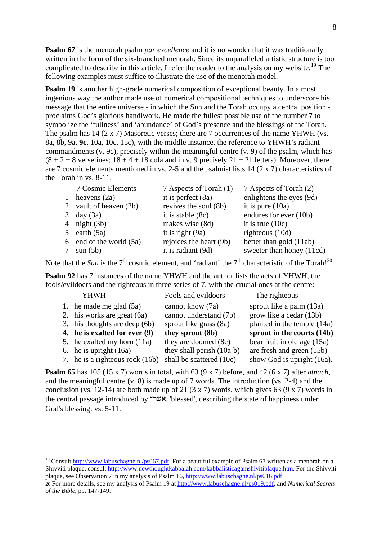**Psalm 67** is the menorah psalm *par excellence* and it is no wonder that it was traditionally written in the form of the six-branched menorah. Since its unparalleled artistic structure is too complicated to describe in this article. I refer the reader to the analysis on my website.<sup>[19](#page-7-0)</sup> The following examples must suffice to illustrate the use of the menorah model.

**Psalm 19** is another high-grade numerical composition of exceptional beauty. In a most ingenious way the author made use of numerical compositional techniques to underscore his message that the entire universe - in which the Sun and the Torah occupy a central position proclaims God's glorious handiwork. He made the fullest possible use of the number **7** to symbolize the 'fullness' and 'abundance' of God's presence and the blessings of the Torah. The psalm has 14 (2 x 7) Masoretic verses; there are 7 occurrences of the name YHWH (vs. 8a, 8b, 9a, **9c**, 10a, 10c, 15c), with the middle instance, the reference to YHWH's radiant commandments  $(v, 9c)$ , precisely within the meaningful centre  $(v, 9)$  of the psalm, which has  $(8 + 2 + 8$  verselines;  $18 + 4 + 18$  cola and in v. 9 precisely  $21 + 21$  letters). Moreover, there are 7 cosmic elements mentioned in vs. 2-5 and the psalmist lists 14 (2 x **7**) characteristics of the Torah in vs. 8-11.

|        | 7 Cosmic Elements         | 7 Aspects of Torah (1)  | 7 Aspects of Torah (2)    |
|--------|---------------------------|-------------------------|---------------------------|
|        | 1 heavens $(2a)$          | it is perfect $(8a)$    | enlightens the eyes (9d)  |
|        | 2 vault of heaven (2b)    | revives the soul (8b)   | it is pure $(10a)$        |
|        | 3 day $(3a)$              | it is stable $(8c)$     | endures for ever (10b)    |
|        | 4 $night(3b)$             | makes wise (8d)         | it is true $(10c)$        |
|        | 5 earth $(5a)$            | it is right $(9a)$      | righteous $(10d)$         |
|        | 6 end of the world $(5a)$ | rejoices the heart (9b) | better than gold (11ab)   |
| $\tau$ | sun(5b)                   | it is radiant (9d)      | sweeter than honey (11cd) |

Note that the *Sun* is the  $7<sup>th</sup>$  cosmic element, and 'radiant' the  $7<sup>th</sup>$  characteristic of the Torah!<sup>[20](#page-7-1)</sup>

**Psalm 92** has 7 instances of the name YHWH and the author lists the acts of YHWH, the fools/evildoers and the righteous in three series of 7, with the crucial ones at the centre:

| YHWH | Fools and evildoers                                                                                                                                                                                                      | The righteous               |
|------|--------------------------------------------------------------------------------------------------------------------------------------------------------------------------------------------------------------------------|-----------------------------|
|      | cannot know (7a)                                                                                                                                                                                                         | sprout like a palm (13a)    |
|      | cannot understand (7b)                                                                                                                                                                                                   | grow like a cedar (13b)     |
|      | sprout like grass (8a)                                                                                                                                                                                                   | planted in the temple (14a) |
|      | they sprout (8b)                                                                                                                                                                                                         | sprout in the courts (14b)  |
|      | they are doomed (8c)                                                                                                                                                                                                     | bear fruit in old age (15a) |
|      | they shall perish (10a-b)                                                                                                                                                                                                | are fresh and green (15b)   |
|      | shall be scattered $(10c)$                                                                                                                                                                                               | show God is upright (16a).  |
|      | 1. he made me glad $(5a)$<br>2. his works are great (6a)<br>3. his thoughts are deep (6b)<br>4. he is exalted for ever (9)<br>5. he exalted my horn (11a)<br>6. he is upright $(16a)$<br>7. he is a righteous rock (16b) |                             |

**Psalm 65** has 105 (15 x 7) words in total, with 63 (9 x 7) before, and 42 (6 x 7) after *atnach*, and the meaningful centre (v. 8) is made up of 7 words. The introduction (vs. 2-4) and the conclusion (vs. 12-14) are both made up of 21  $(3 \times 7)$  words, which gives 63  $(9 \times 7)$  words in the central passage introduced by "אָשׁר", 'blessed', describing the state of happiness under God's blessing: vs. 5-11.

<span id="page-7-0"></span><sup>&</sup>lt;sup>19</sup> Consult [http://www.labuschagne.nl/ps067.pdf.](http://www.labuschagne.nl/ps067.pdf) For a beautiful example of Psalm 67 written as a menorah on a Shivviti plaque, consult [http://www.newthoughtkabbalah.com/kabbalisticagamshivitiplaque.htm.](http://www.newthoughtkabbalah.com/kabbalisticagamshivitiplaque.htm) For the Shivviti plaque, see Observation 7 in my analysis of Psalm 16, [http://www.labuschagne.nl/ps016.pdf.](http://www.labuschagne.nl/ps016.pdf)

<span id="page-7-1"></span><sup>20</sup> For more details, see my analysis of Psalm 19 at [http://www.labuschagne.nl/ps019.pdf,](http://www.labuschagne.nl/ps019.pdf) and *Numerical Secrets of the Bible*, pp. 147-149.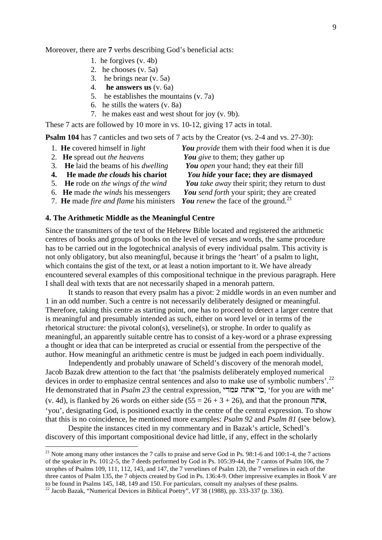Moreover, there are **7** verbs describing God's beneficial acts:

- 1. he forgives (v. 4b)
- 2. he chooses (v. 5a)
- 3. he brings near (v. 5a)
- 4. **he answers us** (v. 6a)
- 5. he establishes the mountains (v. 7a)
- 6. he stills the waters (v. 8a)
- 7. he makes east and west shout for joy (v. 9b).

These 7 acts are followed by 10 more in vs. 10-12, giving 17 acts in total.

**Psalm 104** has 7 canticles and two sets of 7 acts by the Creator (vs. 2-4 and vs. 27-30):

- 1. **He** covered himself in *light You provide* them with their food when it is due
- 

1

- 2. **He** spread out *the heavens You give* to them; they gather up
	-
- 
- 5. **He** rode on *the wings of the wind You take away* their spirit; they return to dust
- 
- 7. **He** made *fire and flame* his ministers *You renew* the face of the ground.[21](#page-8-0)

#### **4. The Arithmetic Middle as the Meaningful Centre**

Since the transmitters of the text of the Hebrew Bible located and registered the arithmetic centres of books and groups of books on the level of verses and words, the same procedure has to be carried out in the logotechnical analysis of every individual psalm. This activity is not only obligatory, but also meaningful, because it brings the 'heart' of a psalm to light, which contains the gist of the text, or at least a notion important to it. We have already encountered several examples of this compositional technique in the previous paragraph. Here I shall deal with texts that are not necessarily shaped in a menorah pattern.

It stands to reason that every psalm has a pivot: 2 middle words in an even number and 1 in an odd number. Such a centre is not necessarily deliberately designed or meaningful. Therefore, taking this centre as starting point, one has to proceed to detect a larger centre that is meaningful and presumably intended as such, either on word level or in terms of the rhetorical structure: the pivotal colon(s), verseline(s), or strophe. In order to qualify as meaningful, an apparently suitable centre has to consist of a key-word or a phrase expressing a thought or idea that can be interpreted as crucial or essential from the perspective of the author. How meaningful an arithmetic centre is must be judged in each poem individually.

 Independently and probably unaware of Scheld's discovery of the menorah model, Jacob Bazak drew attention to the fact that 'the psalmists deliberately employed numerical devices in order to emphasize central sentences and also to make use of symbolic numbers'.<sup>[22](#page-8-1)</sup> He demonstrated that in *Psalm 23* the central expression, "כי־אתה עמר, 'for you are with me' (v. 4d), is flanked by 26 words on either side ( $55 = 26 + 3 + 26$ ), and that the pronoun אתה, 'you', designating God, is positioned exactly in the centre of the central expression. To show that this is no coincidence, he mentioned more examples: *Psalm 92* and *Psalm 81* (see below).

Despite the instances cited in my commentary and in Bazak's article, Schedl's discovery of this important compositional device had little, if any, effect in the scholarly

3. **He** laid the beams of his *dwelling You open* your hand; they eat their fill **4. He made** *the clouds* **his chariot** *You hide* **your face; they are dismayed** 

- 
- 6. **He** made *the winds* his messengers *You send forth* your spirit; they are created
	-

<span id="page-8-0"></span> $21$  Note among many other instances the 7 calls to praise and serve God in Ps. 98:1-6 and 100:1-4, the 7 actions of the speaker in Ps. 101:2-5, the 7 deeds performed by God in Ps. 105:39-44, the 7 cantos of Psalm 106, the 7 strophes of Psalms 109, 111, 112, 143, and 147, the 7 verselines of Psalm 120, the 7 verselines in each of the three cantos of Psalm 135, the 7 objects created by God in Ps. 136:4-9. Other impressive examples in Book V are to be found in Psalms 145, 148, 149 and 150. For particulars, consult my analyses of these psalms.

<span id="page-8-1"></span><sup>22</sup> Jacob Bazak, "Numerical Devices in Biblical Poetry", *VT* 38 (1988), pp. 333-337 (p. 336).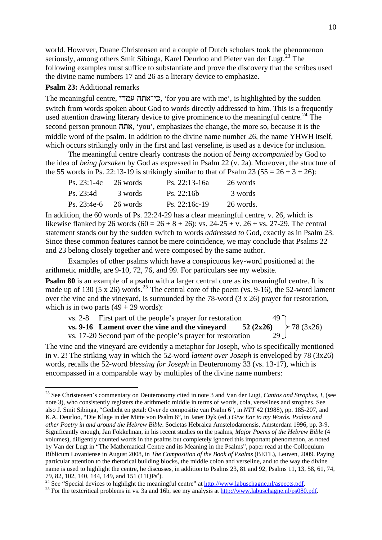world. However, Duane Christensen and a couple of Dutch scholars took the phenomenon seriously, among others Smit Sibinga, Karel Deurloo and Pieter van der Lugt.<sup>[23](#page-9-0)</sup> The following examples must suffice to substantiate and prove the discovery that the scribes used the divine name numbers 17 and 26 as a literary device to emphasize.

### **Psalm 23:** Additional remarks

<u>.</u>

The meaningful centre, כי־אחה עמדי, 'for you are with me', is highlighted by the sudden switch from words spoken about God to words directly addressed to him. This is a frequently used attention drawing literary device to give prominence to the meaningful centre.<sup>[24](#page-9-1)</sup> The second person pronoun  $\overline{D}$ , 'you', emphasizes the change, the more so, because it is the middle word of the psalm. In addition to the divine name number 26, the name YHWH itself, which occurs strikingly only in the first and last verseline, is used as a device for inclusion.

The meaningful centre clearly contrasts the notion of *being accompanied* by God to the idea of *being forsaken* by God as expressed in Psalm 22 (v. 2a). Moreover, the structure of the 55 words in Ps. 22:13-19 is strikingly similar to that of Psalm 23 ( $55 = 26 + 3 + 26$ ):

| $\text{Ps. } 23:1-4c$ 26 words |         | Ps. $22:13-16a$ | 26 words  |
|--------------------------------|---------|-----------------|-----------|
| Ps. 23:4d                      | 3 words | Ps. 22:16b      | 3 words   |
| $Ps. 23:4e-6$ 26 words         |         | $Ps. 22:16c-19$ | 26 words. |

In addition, the 60 words of Ps. 22:24-29 has a clear meaningful centre, v. 26, which is likewise flanked by 26 words  $(60 = 26 + 8 + 26)$ : vs.  $24-25 + v$ .  $26 + v$ s. 27-29. The central statement stands out by the sudden switch to words *addressed to* God, exactly as in Psalm 23. Since these common features cannot be mere coincidence, we may conclude that Psalms 22 and 23 belong closely together and were composed by the same author.

Examples of other psalms which have a conspicuous key-word positioned at the arithmetic middle, are 9-10, 72, 76, and 99. For particulars see my website.

**Psalm 80** is an example of a psalm with a larger central core as its meaningful centre. It is made up of 130 (5 x 26) words.<sup>[25](#page-9-2)</sup> The central core of the poem (vs. 9-16), the 52-word lament over the vine and the vineyard, is surrounded by the 78-word (3 x 26) prayer for restoration, which is in two parts  $(49 + 29 \text{ words})$ :

vs. 2-8 First part of the people's prayer for restoration  $49$ <br> **vs. 9-16 Lament over the vine and the vineyard**  $52 (2x26)$  78 (3x26) **vs. 9-16** Lament over the vine and the vinevard vs. 17-20 Second part of the people's prayer for restoration

The vine and the vineyard are evidently a metaphor for Joseph, who is specifically mentioned in v. 2! The striking way in which the 52-word *lament over Joseph* is enveloped by 78 (3x26) words, recalls the 52-word *blessing for Joseph* in Deuteronomy 33 (vs. 13-17), which is encompassed in a comparable way by multiples of the divine name numbers:

<span id="page-9-0"></span><sup>&</sup>lt;sup>23</sup> See Christensen's commentary on Deuteronomy cited in note 3 and Van der Lugt, *Cantos and Strophes, I*, (see note 3), who consistently registers the arithmetic middle in terms of words, cola, verselines and strophes. See also J. Smit Sibinga, "Gedicht en getal: Over de compositie van Psalm 6", in *NTT* 42 (1988), pp. 185-207, and K.A. Deurloo, "Die Klage in der Mitte von Psalm 6", in Janet Dyk (ed.) *Give Ear to my Words. Psalms and other Poetry in and around the Hebrew Bible*. Societas Hebraica Amstelodamensis, Amsterdam 1996, pp. 3-9. Significantly enough, Jan Fokkelman, in his recent studies on the psalms, *Major Poems of the Hebrew Bible* (4 volumes), diligently counted words in the psalms but completely ignored this important phenomenon, as noted by Van der Lugt in "The Mathematical Centre and its Meaning in the Psalms", paper read at the Colloquium Biblicum Lovaniense in August 2008, in *The Composition of the Book of Psalms* (BETL), Leuven, 2009. Paying particular attention to the rhetorical building blocks, the middle colon and verseline, and to the way the divine name is used to highlight the centre, he discusses, in addition to Psalms 23, 81 and 92, Psalms 11, 13, 58, 61, 74, 79, 82, 102, 140, 144, 149, and 151 (11QPs<sup>a</sup>).<br><sup>24</sup> See "Special devices to highlight the meaningful centre" at  $\frac{http://www.labuschange.nl/aspects.pdf.}$ 

<span id="page-9-2"></span><span id="page-9-1"></span><sup>&</sup>lt;sup>25</sup> For the textcritical problems in vs. 3a and 16b, see my analysis at<http://www.labuschagne.nl/ps080.pdf>.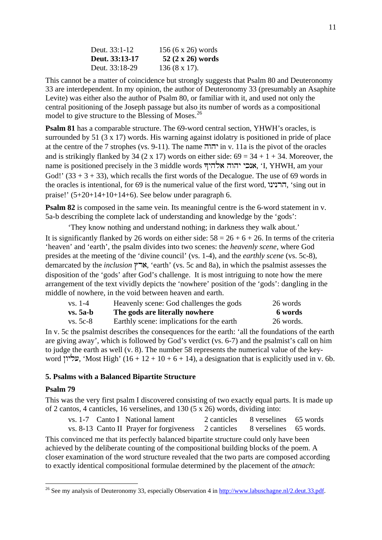| Deut. 33:1-12  | 156 $(6 \times 26)$ words |
|----------------|---------------------------|
| Deut. 33:13-17 | 52 $(2 \times 26)$ words  |
| Deut. 33:18-29 | $136 (8 \times 17)$ .     |

This cannot be a matter of coincidence but strongly suggests that Psalm 80 and Deuteronomy 33 are interdependent. In my opinion, the author of Deuteronomy 33 (presumably an Asaphite Levite) was either also the author of Psalm 80, or familiar with it, and used not only the central positioning of the Joseph passage but also its number of words as a compositional model to give structure to the Blessing of Moses.[26](#page-10-0)

**Psalm 81** has a comparable structure. The 69-word central section, YHWH's oracles, is surrounded by 51 (3 x 17) words. His warning against idolatry is positioned in pride of place at the centre of the 7 strophes (vs. 9-11). The name  $\pi$ הוה v. 11a is the pivot of the oracles and is strikingly flanked by 34 (2 x 17) words on either side:  $69 = 34 + 1 + 34$ . Moreover, the name is positioned precisely in the 3 middle words אנכי יהוה אלהיך, 'I, YHWH, am your God!'  $(33 + 3 + 33)$ , which recalls the first words of the Decalogue. The use of 69 words in the oracles is intentional, for 69 is the numerical value of the first word, הרנינו, 'sing out in praise!'  $(5+20+14+10+14+6)$ . See below under paragraph 6.

**Psalm 82** is composed in the same vein. Its meaningful centre is the 6-word statement in v. 5a-b describing the complete lack of understanding and knowledge by the 'gods':

'They know nothing and understand nothing; in darkness they walk about.' It is significantly flanked by 26 words on either side:  $58 = 26 + 6 + 26$ . In terms of the criteria 'heaven' and 'earth', the psalm divides into two scenes: the *heavenly scene*, where God presides at the meeting of the 'divine council' (vs. 1-4), and the *earthly scene* (vs. 5c-8), demarcated by the *inclusion*  $\gamma \rightarrow x$ , 'earth' (vs. 5c and 8a), in which the psalmist assesses the disposition of the 'gods' after God's challenge. It is most intriguing to note how the mere arrangement of the text vividly depicts the 'nowhere' position of the 'gods': dangling in the middle of nowhere, in the void between heaven and earth.

| vs. 1-4    | Heavenly scene: God challenges the gods   | 26 words  |
|------------|-------------------------------------------|-----------|
| $vs. 5a-b$ | The gods are literally nowhere            | 6 words   |
| $vs. 5c-8$ | Earthly scene: implications for the earth | 26 words. |

In v. 5c the psalmist describes the consequences for the earth: 'all the foundations of the earth are giving away', which is followed by God's verdict (vs. 6-7) and the psalmist's call on him to judge the earth as well (v. 8). The number 58 represents the numerical value of the keyword **(עליון,** 'Most High' (16 + 12 + 10 + 6 + 14), a designation that is explicitly used in v. 6b.

## **5. Psalms with a Balanced Bipartite Structure**

## **Psalm 79**

1

This was the very first psalm I discovered consisting of two exactly equal parts. It is made up of 2 cantos, 4 canticles, 16 verselines, and 130 (5 x 26) words, dividing into:

vs. 1-7 Canto I National lament 2 canticles 8 verselines 65 words vs. 8-13 Canto II Prayer for forgiveness 2 canticles 8 verselines 65 words.

This convinced me that its perfectly balanced bipartite structure could only have been achieved by the deliberate counting of the compositional building blocks of the poem. A closer examination of the word structure revealed that the two parts are composed according to exactly identical compositional formulae determined by the placement of the *atnach*:

<span id="page-10-0"></span><sup>&</sup>lt;sup>26</sup> See my analysis of Deuteronomy 33, especially Observation 4 in  $\frac{http://www.labuschagne.nl/2.deut.33.pdf.}$  $\frac{http://www.labuschagne.nl/2.deut.33.pdf.}$  $\frac{http://www.labuschagne.nl/2.deut.33.pdf.}$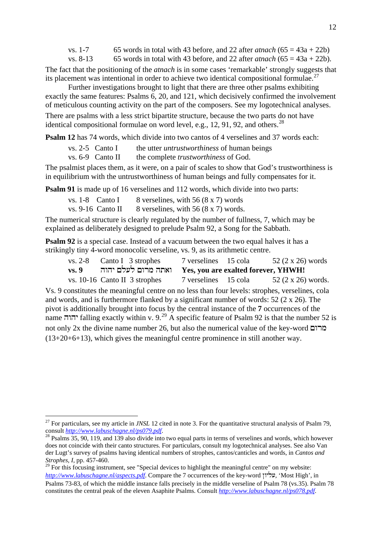- vs. 1-7 65 words in total with 43 before, and 22 after *atnach*  $(65 = 43a + 22b)$
- vs. 8-13 65 words in total with 43 before, and 22 after *atnach* (65 = 43a + 22b).

The fact that the positioning of the *atnach* is in some cases 'remarkable' strongly suggests that its placement was intentional in order to achieve two identical compositional formulae.<sup>[27](#page-11-0)</sup>

Further investigations brought to light that there are three other psalms exhibiting exactly the same features: Psalms 6, 20, and 121, which decisively confirmed the involvement of meticulous counting activity on the part of the composers. See my logotechnical analyses. There are psalms with a less strict bipartite structure, because the two parts do not have identical compositional formulae on word level, e.g., 12, 91, 92, and others.<sup>[28](#page-11-1)</sup>

**Psalm 12** has 74 words, which divide into two cantos of 4 verselines and 37 words each:

vs. 2-5 Canto I the utter *untrustworthiness* of human beings

vs. 6-9 Canto II the complete *trustworthiness* of God.

The psalmist places them, as it were, on a pair of scales to show that God's trustworthiness is in equilibrium with the untrustworthiness of human beings and fully compensates for it.

**Psalm 91** is made up of 16 verselines and 112 words, which divide into two parts:

vs. 1-8 Canto I 8 verselines, with 56  $(8 \times 7)$  words vs. 9-16 Canto II 8 verselines, with 56  $(8 \times 7)$  words.

The numerical structure is clearly regulated by the number of fullness, 7, which may be explained as deliberately designed to prelude Psalm 92, a Song for the Sabbath.

**Psalm 92** is a special case. Instead of a vacuum between the two equal halves it has a strikingly tiny 4-word monocolic verseline, vs. 9, as its arithmetic centre.

| vs. 2-8           | Canto I 3 strophes              | 7 verselines 15 cola |                                     | 52 $(2 \times 26)$ words  |
|-------------------|---------------------------------|----------------------|-------------------------------------|---------------------------|
| $\mathbf{vs.}\,9$ | ואתה מרום לעלם יהוה             |                      | Yes, you are exalted forever, YHWH! |                           |
|                   | vs. $10-16$ Canto II 3 strophes | 7 verselines 15 cola |                                     | 52 $(2 \times 26)$ words. |

Vs. 9 constitutes the meaningful centre on no less than four levels: strophes, verselines, cola and words, and is furthermore flanked by a significant number of words: 52 (2 x 26). The pivot is additionally brought into focus by the central instance of the **7** occurrences of the name יהוה falling exactly within v.  $9.29$  $9.29$  A specific feature of Psalm 92 is that the number 52 is not only 2x the divine name number 26, but also the numerical value of the key-word **בורום** (13+20+6+13), which gives the meaningful centre prominence in still another way.

<span id="page-11-0"></span><sup>&</sup>lt;sup>27</sup> For particulars, see my article in *JNSL* 12 cited in note 3. For the quantitative structural analysis of Psalm 79, consult *http://www[.](http://www.labuschagne.nl/ps079.pdf)labuschagne.nl/ps079.pdf*.<br><sup>28</sup> Psalms 35, 90, 119, and 139 also divide into two equal parts in terms of verselines and words, which however

<span id="page-11-1"></span>does not coincide with their canto structures. For particulars, consult my logotechnical analyses. See also Van der Lugt's survey of psalms having identical numbers of strophes, cantos/canticles and words, in *Cantos and Strophes, I*, pp. 457-460.

<span id="page-11-2"></span><sup>&</sup>lt;sup>29</sup> For this focusing instrument, see "Special devices to highlight the meaningful centre" on my website: *<http://www.labuschagne.nl/aspects.pdf>*. Compare the 7 occurrences of the key-word §wylv, 'Most High', in Psalms 73-83, of which the middle instance falls precisely in the middle verseline of Psalm 78 (vs.35). Psalm 78 constitutes the central peak of the eleven Asaphite Psalms. Consult *<http://www.labuschagne.nl/ps078.pdf>*.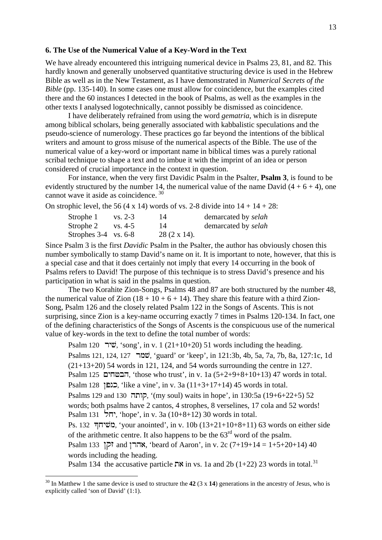### **6. The Use of the Numerical Value of a Key-Word in the Text**

We have already encountered this intriguing numerical device in Psalms 23, 81, and 82. This hardly known and generally unobserved quantitative structuring device is used in the Hebrew Bible as well as in the New Testament, as I have demonstrated in *Numerical Secrets of the Bible* (pp. 135-140). In some cases one must allow for coincidence, but the examples cited there and the 60 instances I detected in the book of Psalms, as well as the examples in the other texts I analysed logotechnically, cannot possibly be dismissed as coincidence.

 I have deliberately refrained from using the word *gematria*, which is in disrepute among biblical scholars, being generally associated with kabbalistic speculations and the pseudo-science of numerology. These practices go far beyond the intentions of the biblical writers and amount to gross misuse of the numerical aspects of the Bible. The use of the numerical value of a key-word or important name in biblical times was a purely rational scribal technique to shape a text and to imbue it with the imprint of an idea or person considered of crucial importance in the context in question.

For instance, when the very first Davidic Psalm in the Psalter, **Psalm 3**, is found to be evidently structured by the number 14, the numerical value of the name David  $(4 + 6 + 4)$ , one cannot wave it aside as coincidence.  $30$ 

On strophic level, the 56 (4 x 14) words of vs. 2-8 divide into  $14 + 14 + 28$ :

| Strophe 1                 | $vs. 2-3$ | 14                  | demarcated by <i>selah</i> |
|---------------------------|-----------|---------------------|----------------------------|
| Strophe 2 $\quad$ vs. 4-5 |           | 14                  | demarcated by <i>selah</i> |
| Strophes $3-4$ vs. 6-8    |           | $28(2 \times 14)$ . |                            |

Since Psalm 3 is the first *Davidic* Psalm in the Psalter, the author has obviously chosen this number symbolically to stamp David's name on it. It is important to note, however, that this is a special case and that it does certainly not imply that every 14 occurring in the book of Psalms refers to David! The purpose of this technique is to stress David's presence and his participation in what is said in the psalms in question.

 The two Korahite Zion-Songs, Psalms 48 and 87 are both structured by the number 48, the numerical value of Zion  $(18 + 10 + 6 + 14)$ . They share this feature with a third Zion-Song, Psalm 126 and the closely related Psalm 122 in the Songs of Ascents. This is not surprising, since Zion is a key-name occurring exactly 7 times in Psalms 120-134. In fact, one of the defining characteristics of the Songs of Ascents is the conspicuous use of the numerical value of key-words in the text to define the total number of words:

Psalm 120 *ry*, 'song', in v. 1 (21+10+20) 51 words including the heading. Psalms 121, 124, 127 rmH, 'guard' or 'keep', in 121:3b, 4b, 5a, 7a, 7b, 8a, 127:1c, 1d  $(21+13+20)$  54 words in 121, 124, and 54 words surrounding the centre in 127. Psalm 125  $\overline{r}$ הבטחים, 'those who trust', in v. 1a (5+2+9+8+10+13) 47 words in total. Psalm 128 (11+3+17+14) 5 ke a vine', in v. 3a (11+3+17+14) 45 words in total. Psalms 129 and 130  $\tau$ קותה, '(my soul) waits in hope', in 130:5a (19+6+22+5) 52 words; both psalms have 2 cantos, 4 strophes, 8 verselines, 17 cola and 52 words! Psalm 131 'יחל', 'hope', in v. 3a (10+8+12) 30 words in total. Ps. 132  $\frac{132}{100}$ , 'your anointed', in v. 10b (13+21+10+8+11) 63 words on either side of the arithmetic centre. It also happens to be the  $63<sup>rd</sup>$  word of the psalm. Psalm  $133$   $\overline{5}$  and  $\overline{6}$ , 'beard of Aaron', in v. 2c (7+19+14 = 1+5+20+14) 40 words including the heading. Psalm 134 the accusative particle  $\sum$  in vs. 1a and 2b (1+22) 23 words in total.<sup>[31](#page-12-1)</sup>

<span id="page-12-1"></span><span id="page-12-0"></span><sup>&</sup>lt;sup>30</sup> In Matthew 1 the same device is used to structure the **42** (3 x **14**) generations in the ancestry of Jesus, who is explicitly called 'son of David' (1:1).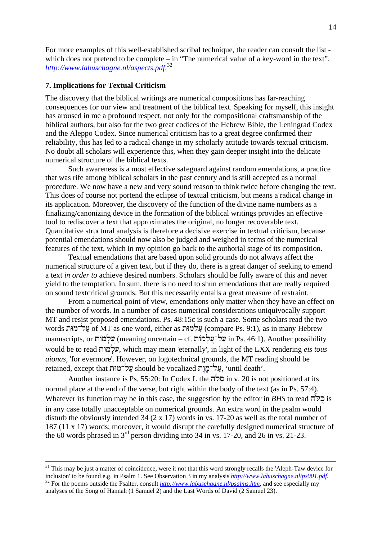For more examples of this well-established scribal technique, the reader can consult the list which does not pretend to be complete – in "The numerical value of a key-word in the text", *<http://www.labuschagne.nl/aspects.pdf>*. [32](#page-13-0)

## **7. Implications for Textual Criticism**

The discovery that the biblical writings are numerical compositions has far-reaching consequences for our view and treatment of the biblical text. Speaking for myself, this insight has aroused in me a profound respect, not only for the compositional craftsmanship of the biblical authors, but also for the two great codices of the Hebrew Bible, the Leningrad Codex and the Aleppo Codex. Since numerical criticism has to a great degree confirmed their reliability, this has led to a radical change in my scholarly attitude towards textual criticism. No doubt all scholars will experience this, when they gain deeper insight into the delicate numerical structure of the biblical texts.

Such awareness is a most effective safeguard against random emendations, a practice that was rife among biblical scholars in the past century and is still accepted as a normal procedure. We now have a new and very sound reason to think twice before changing the text. This does of course not portend the eclipse of textual criticism, but means a radical change in its application. Moreover, the discovery of the function of the divine name numbers as a finalizing/canonizing device in the formation of the biblical writings provides an effective tool to rediscover a text that approximates the original, no longer recoverable text. Quantitative structural analysis is therefore a decisive exercise in textual criticism, because potential emendations should now also be judged and weighed in terms of the numerical features of the text, which in my opinion go back to the authorial stage of its composition.

Textual emendations that are based upon solid grounds do not always affect the numerical structure of a given text, but if they do, there is a great danger of seeking to emend a text *in order to* achieve desired numbers. Scholars should be fully aware of this and never yield to the temptation. In sum, there is no need to shun emendations that are really required on sound textcritical grounds. But this necessarily entails a great measure of restraint.

 From a numerical point of view, emendations only matter when they have an effect on the number of words. In a number of cases numerical considerations uniquivocally support MT and resist proposed emendations. Ps. 48:15c is such a case. Some scholars read the two words עֵל־מוּת of MT as one word, either as עֲלִימוּת (compare Ps. 9:1), as in many Hebrew manuscripts, or עֵלְמוֹת (meaning uncertain – cf. עֲלוֹעֵל in Ps. 46:1). Another possibility would be to read **i**d $\forall$ שׁלָמוֹת, which may mean 'eternally', in light of the LXX rendering *eis tous aionas,* 'for evermore'. However, on logotechnical grounds, the MT reading should be retained, except that על־מוּת should be vocalized על־מוּח, 'until death'.

Another instance is Ps. 55:20: In Codex L the  $\overline{P}$  in v. 20 is not positioned at its normal place at the end of the verse, but right within the body of the text (as in Ps. 57:4). Whatever its function may be in this case, the suggestion by the editor in *BHS* to read  $\vec{\tau}$ ה is in any case totally unacceptable on numerical grounds. An extra word in the psalm would disturb the obviously intended 34 (2 x 17) words in vs. 17-20 as well as the total number of 187 (11 x 17) words; moreover, it would disrupt the carefully designed numerical structure of the 60 words phrased in 3rd person dividing into 34 in vs. 17-20, and 26 in vs. 21-23.

<span id="page-13-0"></span>analyses of the Song of Hannah (1 Samuel 2) and the Last Words of David (2 Samuel 23).

<sup>&</sup>lt;sup>31</sup> This may be just a matter of coincidence, were it not that this word strongly recalls the 'Aleph-Taw device for inclusion' to be found e[.](http://www.labuschagne.nl/ps001.pdf)g.in Psalm 1. See Observation 3 in my analysis http://www.labuschagne.nl/ps001.pdf.<br><sup>32</sup> For the poems outside the Psalter, consult http://www.labuschagne.nl/psalms.htm, and see especially my